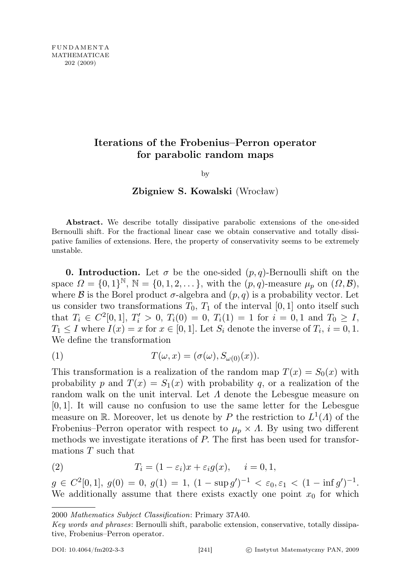## Iterations of the Frobenius–Perron operator for parabolic random maps

by

## Zbigniew S. Kowalski (Wrocław)

Abstract. We describe totally dissipative parabolic extensions of the one-sided Bernoulli shift. For the fractional linear case we obtain conservative and totally dissipative families of extensions. Here, the property of conservativity seems to be extremely unstable.

**0. Introduction.** Let  $\sigma$  be the one-sided  $(p, q)$ -Bernoulli shift on the space  $\Omega = \{0,1\}^{\mathbb{N}}, \mathbb{N} = \{0,1,2,\ldots\},\$  with the  $(p,q)$ -measure  $\mu_p$  on  $(\Omega,\mathcal{B}),$ where  $\beta$  is the Borel product  $\sigma$ -algebra and  $(p, q)$  is a probability vector. Let us consider two transformations  $T_0$ ,  $T_1$  of the interval [0, 1] onto itself such that  $T_i \in C^2[0,1], T'_i > 0, T_i(0) = 0, T_i(1) = 1$  for  $i = 0, 1$  and  $T_0 \geq I$ ,  $T_1 \leq I$  where  $I(x) = x$  for  $x \in [0,1]$ . Let  $S_i$  denote the inverse of  $T_i$ ,  $i = 0,1$ . We define the transformation

(1) 
$$
T(\omega, x) = (\sigma(\omega), S_{\omega(0)}(x)).
$$

This transformation is a realization of the random map  $T(x) = S_0(x)$  with probability p and  $T(x) = S_1(x)$  with probability q, or a realization of the random walk on the unit interval. Let  $\Lambda$  denote the Lebesgue measure on  $[0, 1]$ . It will cause no confusion to use the same letter for the Lebesgue measure on R. Moreover, let us denote by P the restriction to  $L^1(\Lambda)$  of the Frobenius–Perron operator with respect to  $\mu_p \times \Lambda$ . By using two different methods we investigate iterations of P. The first has been used for transformations T such that

(2) 
$$
T_i = (1 - \varepsilon_i)x + \varepsilon_i g(x), \quad i = 0, 1,
$$

 $g \in C^2[0,1], g(0) = 0, g(1) = 1, (1 - \sup g')^{-1} < \varepsilon_0, \varepsilon_1 < (1 - \inf g')^{-1}.$ We additionally assume that there exists exactly one point  $x_0$  for which

<sup>2000</sup> Mathematics Subject Classification: Primary 37A40.

Key words and phrases: Bernoulli shift, parabolic extension, conservative, totally dissipative, Frobenius–Perron operator.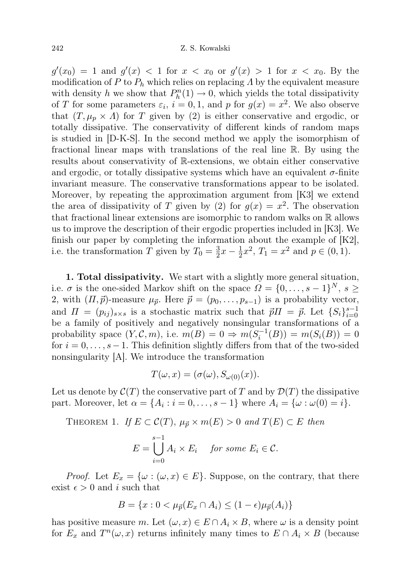$g'(x_0) = 1$  and  $g'(x) < 1$  for  $x < x_0$  or  $g'(x) > 1$  for  $x < x_0$ . By the modification of P to  $P_h$  which relies on replacing A by the equivalent measure with density h we show that  $P_h^n(1) \to 0$ , which yields the total dissipativity of T for some parameters  $\varepsilon_i$ ,  $i = 0, 1$ , and p for  $g(x) = x^2$ . We also observe that  $(T, \mu_p \times \Lambda)$  for T given by (2) is either conservative and ergodic, or totally dissipative. The conservativity of different kinds of random maps is studied in [D-K-S]. In the second method we apply the isomorphism of fractional linear maps with translations of the real line R. By using the results about conservativity of R-extensions, we obtain either conservative and ergodic, or totally dissipative systems which have an equivalent  $\sigma$ -finite invariant measure. The conservative transformations appear to be isolated. Moreover, by repeating the approximation argument from [K3] we extend the area of dissipativity of T given by (2) for  $g(x) = x^2$ . The observation that fractional linear extensions are isomorphic to random walks on R allows us to improve the description of their ergodic properties included in [K3]. We finish our paper by completing the information about the example of  $[K2]$ , i.e. the transformation T given by  $T_0 = \frac{3}{2}$  $\frac{3}{2}x-\frac{1}{2}$  $\frac{1}{2}x^2$ ,  $T_1 = x^2$  and  $p \in (0, 1)$ .

1. Total dissipativity. We start with a slightly more general situation, i.e.  $\sigma$  is the one-sided Markov shift on the space  $\Omega = \{0, \ldots, s-1\}^N$ ,  $s \geq$ 2, with  $(\Pi,\vec{p})$ -measure  $\mu_{\vec{p}}$ . Here  $\vec{p} = (p_0,\ldots,p_{s-1})$  is a probability vector, and  $\Pi = (p_{ij})_{s \times s}$  is a stochastic matrix such that  $\vec{p} \Pi = \vec{p}$ . Let  $\{S_i\}_{i=0}^{s-1}$ be a family of positively and negatively nonsingular transformations of a probability space  $(Y, \mathcal{C}, m)$ , i.e.  $m(B) = 0 \Rightarrow m(S_i^{-1}(B)) = m(S_i(B)) = 0$ for  $i = 0, \ldots, s - 1$ . This definition slightly differs from that of the two-sided nonsingularity [A]. We introduce the transformation

$$
T(\omega, x) = (\sigma(\omega), S_{\omega(0)}(x)).
$$

Let us denote by  $\mathcal{C}(T)$  the conservative part of T and by  $\mathcal{D}(T)$  the dissipative part. Moreover, let  $\alpha = \{A_i : i = 0, \ldots, s - 1\}$  where  $A_i = \{\omega : \omega(0) = i\}.$ 

THEOREM 1. If  $E \subset \mathcal{C}(T)$ ,  $\mu_{\vec{p}} \times m(E) > 0$  and  $T(E) \subset E$  then

$$
E = \bigcup_{i=0}^{s-1} A_i \times E_i \quad \text{for some } E_i \in \mathcal{C}.
$$

*Proof.* Let  $E_x = \{\omega : (\omega, x) \in E\}$ . Suppose, on the contrary, that there exist  $\epsilon > 0$  and i such that

$$
B = \{x : 0 < \mu_{\vec{p}}(E_x \cap A_i) \le (1 - \epsilon)\mu_{\vec{p}}(A_i)\}
$$

has positive measure m. Let  $(\omega, x) \in E \cap A_i \times B$ , where  $\omega$  is a density point for  $E_x$  and  $T^n(\omega, x)$  returns infinitely many times to  $E \cap A_i \times B$  (because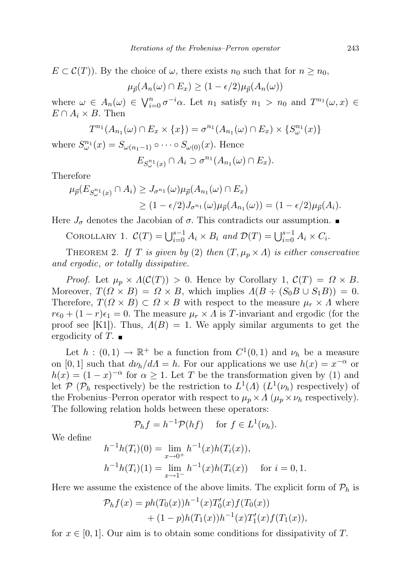$E \subset \mathcal{C}(T)$ . By the choice of  $\omega$ , there exists  $n_0$  such that for  $n \geq n_0$ ,

$$
\mu_{\vec{p}}(A_n(\omega) \cap E_x) \ge (1 - \epsilon/2) \mu_{\vec{p}}(A_n(\omega))
$$

where  $\omega \in A_n(\omega) \in \bigvee_{i=0}^n \sigma^{-i}\alpha$ . Let  $n_1$  satisfy  $n_1 > n_0$  and  $T^{n_1}(\omega, x) \in$  $E \cap A_i \times B$ . Then

$$
T^{n_1}(A_{n_1}(\omega) \cap E_x \times \{x\}) = \sigma^{n_1}(A_{n_1}(\omega) \cap E_x) \times \{S^{n_1}_{\omega}(x)\}\
$$

where  $S^{n_1}_{\omega}(x) = S_{\omega(n_1-1)} \circ \cdots \circ S_{\omega(0)}(x)$ . Hence

$$
E_{S_{\omega}^{n_1}(x)} \cap A_i \supset \sigma^{n_1}(A_{n_1}(\omega) \cap E_x).
$$

Therefore

$$
\mu_{\vec{p}}(E_{S_{\omega}^{n_1}(x)} \cap A_i) \ge J_{\sigma^{n_1}}(\omega)\mu_{\vec{p}}(A_{n_1}(\omega) \cap E_x)
$$
  
 
$$
\ge (1 - \epsilon/2)J_{\sigma^{n_1}}(\omega)\mu_{\vec{p}}(A_{n_1}(\omega)) = (1 - \epsilon/2)\mu_{\vec{p}}(A_i).
$$

Here  $J_{\sigma}$  denotes the Jacobian of  $\sigma$ . This contradicts our assumption.

COROLLARY 1.  $\mathcal{C}(T) = \bigcup_{i=0}^{s-1} A_i \times B_i$  and  $\mathcal{D}(T) = \bigcup_{i=0}^{s-1} A_i \times C_i$ .

THEOREM 2. If T is given by (2) then  $(T, \mu_p \times \Lambda)$  is either conservative and ergodic, or totally dissipative.

*Proof.* Let  $\mu_p \times \Lambda(\mathcal{C}(T)) > 0$ . Hence by Corollary 1,  $\mathcal{C}(T) = \Omega \times B$ . Moreover,  $T(Q \times B) = Q \times B$ , which implies  $A(B \div (S_0 B \cup S_1 B)) = 0$ . Therefore,  $T(Q \times B) \subset Q \times B$  with respect to the measure  $\mu_r \times A$  where  $r\epsilon_0 + (1 - r)\epsilon_1 = 0$ . The measure  $\mu_r \times \Lambda$  is T-invariant and ergodic (for the proof see [K1]). Thus,  $A(B) = 1$ . We apply similar arguments to get the ergodicity of T.  $\blacksquare$ 

Let  $h:(0,1) \to \mathbb{R}^+$  be a function from  $C^1(0,1)$  and  $\nu_h$  be a measure on [0, 1] such that  $d\nu_h/d\Lambda = h$ . For our applications we use  $h(x) = x^{-\alpha}$  or  $h(x) = (1-x)^{-\alpha}$  for  $\alpha \ge 1$ . Let T be the transformation given by (1) and let  $P$  ( $P_h$  respectively) be the restriction to  $L^1(\Lambda)$  ( $L^1(\nu_h)$ ) respectively) of the Frobenius–Perron operator with respect to  $\mu_p \times \Lambda$  ( $\mu_p \times \nu_h$  respectively). The following relation holds between these operators:

$$
\mathcal{P}_h f = h^{-1} \mathcal{P}(hf) \quad \text{ for } f \in L^1(\nu_h).
$$

We define

$$
h^{-1}h(T_i)(0) = \lim_{x \to 0^+} h^{-1}(x)h(T_i(x)),
$$
  
\n
$$
h^{-1}h(T_i)(1) = \lim_{x \to 1^-} h^{-1}(x)h(T_i(x)) \text{ for } i = 0, 1.
$$

Here we assume the existence of the above limits. The explicit form of  $\mathcal{P}_h$  is

$$
\mathcal{P}_h f(x) = ph(T_0(x))h^{-1}(x)T'_0(x)f(T_0(x))
$$
  
+ (1-p)h(T\_1(x))h^{-1}(x)T'\_1(x)f(T\_1(x)),

for  $x \in [0, 1]$ . Our aim is to obtain some conditions for dissipativity of T.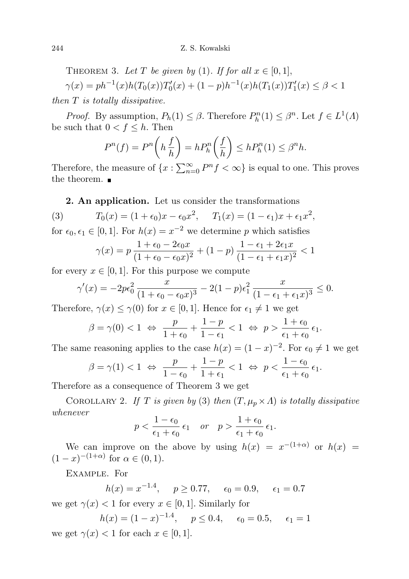THEOREM 3. Let T be given by (1). If for all  $x \in [0,1]$ ,  $\gamma(x) = ph^{-1}(x)h(T_0(x))T'_0(x) + (1-p)h^{-1}(x)h(T_1(x))T'_1(x) \le \beta < 1$ 

then T is totally dissipative.

*Proof.* By assumption,  $P_h(1) \leq \beta$ . Therefore  $P_h^n(1) \leq \beta^n$ . Let  $f \in L^1(\Lambda)$ be such that  $0 < f \leq h$ . Then

$$
P^{n}(f) = P^{n}\left(h\frac{f}{h}\right) = hP_{h}^{n}\left(\frac{f}{h}\right) \le hP_{h}^{n}(1) \le \beta^{n}h.
$$

Therefore, the measure of  $\{x : \sum_{n=0}^{\infty} P^n f < \infty\}$  is equal to one. This proves the theorem.  $\blacksquare$ 

2. An application. Let us consider the transformations

(3) 
$$
T_0(x) = (1 + \epsilon_0)x - \epsilon_0 x^2
$$
,  $T_1(x) = (1 - \epsilon_1)x + \epsilon_1 x^2$ ,

for  $\epsilon_0, \epsilon_1 \in [0, 1]$ . For  $h(x) = x^{-2}$  we determine p which satisfies

$$
\gamma(x) = p \frac{1 + \epsilon_0 - 2\epsilon_0 x}{(1 + \epsilon_0 - \epsilon_0 x)^2} + (1 - p) \frac{1 - \epsilon_1 + 2\epsilon_1 x}{(1 - \epsilon_1 + \epsilon_1 x)^2} < 1
$$

for every  $x \in [0, 1]$ . For this purpose we compute

$$
\gamma'(x) = -2p\epsilon_0^2 \frac{x}{(1+\epsilon_0-\epsilon_0 x)^3} - 2(1-p)\epsilon_1^2 \frac{x}{(1-\epsilon_1+\epsilon_1 x)^3} \le 0.
$$

Therefore,  $\gamma(x) \leq \gamma(0)$  for  $x \in [0,1]$ . Hence for  $\epsilon_1 \neq 1$  we get

$$
\beta = \gamma(0) < 1 \ \Leftrightarrow \ \frac{p}{1+\epsilon_0} + \frac{1-p}{1-\epsilon_1} < 1 \ \Leftrightarrow \ p > \frac{1+\epsilon_0}{\epsilon_1+\epsilon_0} \epsilon_1.
$$

The same reasoning applies to the case  $h(x) = (1 - x)^{-2}$ . For  $\epsilon_0 \neq 1$  we get

$$
\beta = \gamma(1) < 1 \ \Leftrightarrow \ \frac{p}{1-\epsilon_0} + \frac{1-p}{1+\epsilon_1} < 1 \ \Leftrightarrow \ p < \frac{1-\epsilon_0}{\epsilon_1+\epsilon_0} \epsilon_1.
$$

Therefore as a consequence of Theorem 3 we get

COROLLARY 2. If T is given by (3) then  $(T, \mu_p \times \Lambda)$  is totally dissipative whenever

$$
p < \frac{1 - \epsilon_0}{\epsilon_1 + \epsilon_0} \epsilon_1
$$
 or  $p > \frac{1 + \epsilon_0}{\epsilon_1 + \epsilon_0} \epsilon_1$ .

We can improve on the above by using  $h(x) = x^{-(1+\alpha)}$  or  $h(x) =$  $(1-x)^{-(1+\alpha)}$  for  $\alpha \in (0,1)$ .

Example. For

 $h(x) = x^{-1.4}, \quad p \ge 0.77, \quad \epsilon_0 = 0.9, \quad \epsilon_1 = 0.7$ 

we get  $\gamma(x) < 1$  for every  $x \in [0, 1]$ . Similarly for

$$
h(x) = (1 - x)^{-1.4}, \quad p \le 0.4, \quad \epsilon_0 = 0.5, \quad \epsilon_1 = 1
$$
  
we get  $\gamma(x) < 1$  for each  $x \in [0, 1]$ .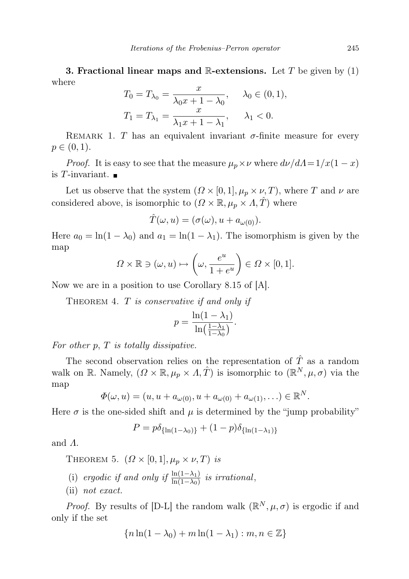**3. Fractional linear maps and R-extensions.** Let T be given by  $(1)$ where

$$
T_0 = T_{\lambda_0} = \frac{x}{\lambda_0 x + 1 - \lambda_0}, \quad \lambda_0 \in (0, 1),
$$
  

$$
T_1 = T_{\lambda_1} = \frac{x}{\lambda_1 x + 1 - \lambda_1}, \quad \lambda_1 < 0.
$$

REMARK 1. T has an equivalent invariant  $\sigma$ -finite measure for every  $p \in (0, 1)$ .

*Proof.* It is easy to see that the measure  $\mu_p \times \nu$  where  $d\nu/d\Lambda = 1/x(1 - x)$ is T-invariant.  $\blacksquare$ 

Let us observe that the system  $(\Omega \times [0,1], \mu_p \times \nu, T)$ , where T and  $\nu$  are considered above, is isomorphic to  $(\Omega \times \mathbb{R}, \mu_p \times \Lambda, \hat{T})$  where

$$
\hat{T}(\omega, u) = (\sigma(\omega), u + a_{\omega(0)}).
$$

Here  $a_0 = \ln(1 - \lambda_0)$  and  $a_1 = \ln(1 - \lambda_1)$ . The isomorphism is given by the map

$$
\varOmega\times\mathbb{R}\ni(\omega,u)\mapsto\left(\omega,\frac{e^u}{1+e^u}\right)\in\varOmega\times[0,1].
$$

Now we are in a position to use Corollary 8.15 of [A].

THEOREM 4. T is conservative if and only if

$$
p = \frac{\ln(1 - \lambda_1)}{\ln(\frac{1 - \lambda_1}{1 - \lambda_0})}.
$$

For other  $p$ ,  $T$  is totally dissipative.

The second observation relies on the representation of  $\hat{T}$  as a random walk on R. Namely,  $(\Omega \times \mathbb{R}, \mu_p \times \Lambda, \hat{T})$  is isomorphic to  $(\mathbb{R}^N, \mu, \sigma)$  via the map

$$
\Phi(\omega, u) = (u, u + a_{\omega(0)}, u + a_{\omega(0)} + a_{\omega(1)}, \ldots) \in \mathbb{R}^N.
$$

Here  $\sigma$  is the one-sided shift and  $\mu$  is determined by the "jump probability"

$$
P = p\delta_{\{\ln(1-\lambda_0)\}} + (1-p)\delta_{\{\ln(1-\lambda_1)\}}
$$

and Λ.

THEOREM 5.  $(\Omega \times [0,1], \mu_p \times \nu, T)$  is

(i) ergodic if and only if  $\frac{\ln(1-\lambda_1)}{\ln(1-\lambda_0)}$  is irrational,

(ii) not exact.

*Proof.* By results of [D-L] the random walk  $(\mathbb{R}^N, \mu, \sigma)$  is ergodic if and only if the set

$$
\{n\ln(1-\lambda_0)+m\ln(1-\lambda_1):m,n\in\mathbb{Z}\}\
$$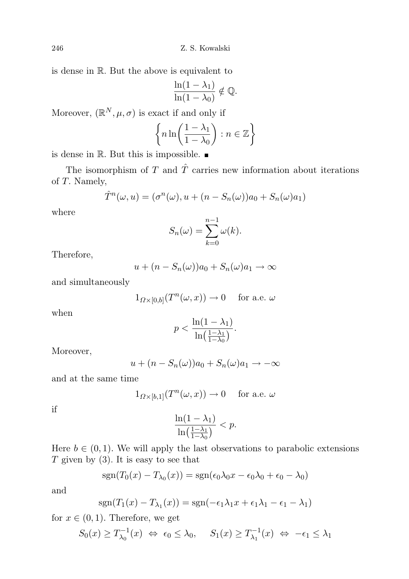is dense in R. But the above is equivalent to

$$
\frac{\ln(1-\lambda_1)}{\ln(1-\lambda_0)} \notin \mathbb{Q}.
$$

Moreover,  $(\mathbb{R}^N, \mu, \sigma)$  is exact if and only if

$$
\left\{ n \ln \left( \frac{1 - \lambda_1}{1 - \lambda_0} \right) : n \in \mathbb{Z} \right\}
$$

is dense in  $\mathbb R$ . But this is impossible.  $\blacksquare$ 

The isomorphism of T and  $\hat{T}$  carries new information about iterations of T. Namely,

$$
\hat{T}^n(\omega, u) = (\sigma^n(\omega), u + (n - S_n(\omega))a_0 + S_n(\omega)a_1)
$$

where

$$
S_n(\omega) = \sum_{k=0}^{n-1} \omega(k).
$$

Therefore,

$$
u + (n - S_n(\omega))a_0 + S_n(\omega)a_1 \to \infty
$$

and simultaneously

$$
1_{\varOmega\times[0,b]}(T^n(\omega,x))\to 0\quad\text{ for a.e. }\omega
$$

when

$$
p < \frac{\ln(1 - \lambda_1)}{\ln\left(\frac{1 - \lambda_1}{1 - \lambda_0}\right)}.
$$

Moreover,

$$
u + (n - S_n(\omega))a_0 + S_n(\omega)a_1 \to -\infty
$$

and at the same time

$$
1_{\Omega\times[b,1]}(T^n(\omega,x))\to 0
$$
 for a.e.  $\omega$ 

if

$$
\frac{\ln(1-\lambda_1)}{\ln\left(\frac{1-\lambda_1}{1-\lambda_0}\right)} < p.
$$

Here  $b \in (0, 1)$ . We will apply the last observations to parabolic extensions  $T$  given by (3). It is easy to see that

$$
sgn(T_0(x) - T_{\lambda_0}(x)) = sgn(\epsilon_0 \lambda_0 x - \epsilon_0 \lambda_0 + \epsilon_0 - \lambda_0)
$$

and

$$
sgn(T_1(x) - T_{\lambda_1}(x)) = sgn(-\epsilon_1 \lambda_1 x + \epsilon_1 \lambda_1 - \epsilon_1 - \lambda_1)
$$

for  $x \in (0,1)$ . Therefore, we get

$$
S_0(x) \ge T_{\lambda_0}^{-1}(x) \iff \epsilon_0 \le \lambda_0, \quad S_1(x) \ge T_{\lambda_1}^{-1}(x) \iff -\epsilon_1 \le \lambda_1
$$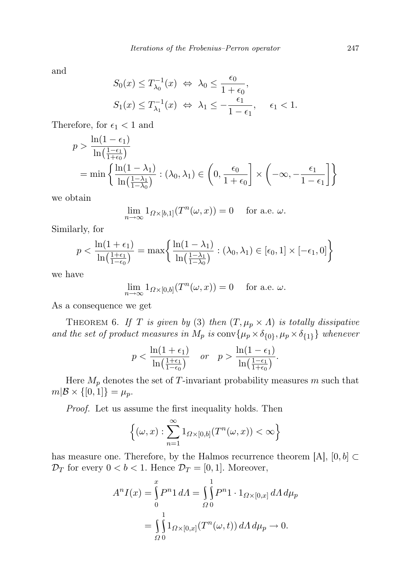and

$$
S_0(x) \le T_{\lambda_0}^{-1}(x) \iff \lambda_0 \le \frac{\epsilon_0}{1 + \epsilon_0},
$$
  

$$
S_1(x) \le T_{\lambda_1}^{-1}(x) \iff \lambda_1 \le -\frac{\epsilon_1}{1 - \epsilon_1}, \quad \epsilon_1 < 1.
$$

Therefore, for  $\epsilon_1 < 1$  and

$$
p > \frac{\ln(1 - \epsilon_1)}{\ln(\frac{1 - \epsilon_1}{1 + \epsilon_0})}
$$
  
= min  $\left\{ \frac{\ln(1 - \lambda_1)}{\ln(\frac{1 - \lambda_1}{1 - \lambda_0})} : (\lambda_0, \lambda_1) \in \left( 0, \frac{\epsilon_0}{1 + \epsilon_0} \right] \times \left( -\infty, -\frac{\epsilon_1}{1 - \epsilon_1} \right] \right\}$ 

we obtain

$$
\lim_{n \to \infty} 1_{\Omega \times [b,1]}(T^n(\omega, x)) = 0 \quad \text{for a.e. } \omega.
$$

Similarly, for

$$
p < \frac{\ln(1+\epsilon_1)}{\ln\left(\frac{1+\epsilon_1}{1-\epsilon_0}\right)} = \max\left\{\frac{\ln(1-\lambda_1)}{\ln\left(\frac{1-\lambda_1}{1-\lambda_0}\right)} : (\lambda_0, \lambda_1) \in [\epsilon_0, 1] \times [-\epsilon_1, 0]\right\}
$$

we have

$$
\lim_{n \to \infty} 1_{\Omega \times [0,b]}(T^n(\omega, x)) = 0 \quad \text{for a.e. } \omega.
$$

As a consequence we get

THEOREM 6. If T is given by (3) then  $(T, \mu_p \times \Lambda)$  is totally dissipative and the set of product measures in  $M_p$  is  $conv\{\mu_p \times \delta_{\{0\}}, \mu_p \times \delta_{\{1\}}\}\$  whenever

$$
p < \frac{\ln(1+\epsilon_1)}{\ln\left(\frac{1+\epsilon_1}{1-\epsilon_0}\right)} \quad \text{or} \quad p > \frac{\ln(1-\epsilon_1)}{\ln\left(\frac{1-\epsilon_1}{1+\epsilon_0}\right)}.
$$

Here  $M_p$  denotes the set of T-invariant probability measures m such that  $m|\mathcal{B} \times \{[0,1]\} = \mu_p.$ 

Proof. Let us assume the first inequality holds. Then

$$
\left\{(\omega, x) : \sum_{n=1}^{\infty} 1_{\Omega \times [0, b]}(T^n(\omega, x)) < \infty\right\}
$$

has measure one. Therefore, by the Halmos recurrence theorem [A],  $[0, b] \subset$  $\mathcal{D}_T$  for every  $0 < b < 1$ . Hence  $\mathcal{D}_T = [0, 1]$ . Moreover,

$$
A^{n} I(x) = \int_{0}^{x} P^{n} 1 dA = \int_{\Omega} \int_{0}^{1} P^{n} 1 \cdot 1_{\Omega \times [0,x]} dA d\mu_{p}
$$
  
= 
$$
\int_{\Omega} \int_{0}^{1} 1_{\Omega \times [0,x]} (T^{n}(\omega, t)) dA d\mu_{p} \to 0.
$$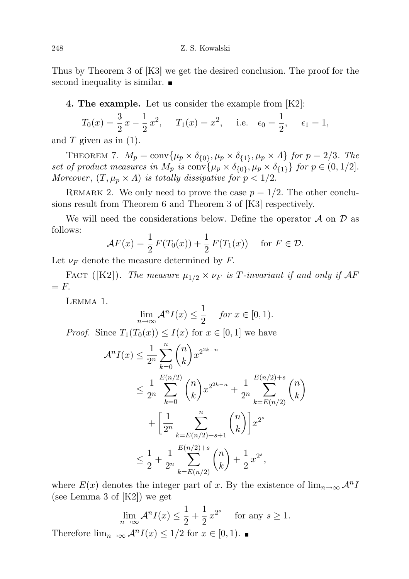Thus by Theorem 3 of [K3] we get the desired conclusion. The proof for the second inequality is similar.

4. The example. Let us consider the example from [K2]:

$$
T_0(x) = \frac{3}{2}x - \frac{1}{2}x^2
$$
,  $T_1(x) = x^2$ , i.e.  $\epsilon_0 = \frac{1}{2}$ ,  $\epsilon_1 = 1$ ,

and  $T$  given as in  $(1)$ .

THEOREM 7.  $M_p = \text{conv}\{\mu_p \times \delta_{\{0\}}, \mu_p \times \delta_{\{1\}}, \mu_p \times \Lambda\}$  for  $p = 2/3$ . The set of product measures in  $M_p$  is  $conv\{\mu_p \times \delta_{\{0\}}, \mu_p \times \delta_{\{1\}}\}$  for  $p \in (0, 1/2]$ . Moreover,  $(T, \mu_p \times \Lambda)$  is totally dissipative for  $p < 1/2$ .

REMARK 2. We only need to prove the case  $p = 1/2$ . The other conclusions result from Theorem 6 and Theorem 3 of [K3] respectively.

We will need the considerations below. Define the operator  $\mathcal A$  on  $\mathcal D$  as follows:

$$
\mathcal{A}F(x) = \frac{1}{2}F(T_0(x)) + \frac{1}{2}F(T_1(x)) \quad \text{for } F \in \mathcal{D}.
$$

Let  $\nu_F$  denote the measure determined by F.

FACT ([K2]). The measure  $\mu_{1/2} \times \nu_F$  is T-invariant if and only if  $\mathcal{A}F$  $=$   $F$ .

Lemma 1.

$$
\lim_{n \to \infty} \mathcal{A}^n I(x) \le \frac{1}{2} \quad \text{for } x \in [0, 1).
$$

*Proof.* Since  $T_1(T_0(x)) \leq I(x)$  for  $x \in [0,1]$  we have

$$
\mathcal{A}^n I(x) \leq \frac{1}{2^n} \sum_{k=0}^n {n \choose k} x^{2^{2k-n}} \n\leq \frac{1}{2^n} \sum_{k=0}^{E(n/2)} {n \choose k} x^{2^{2k-n}} + \frac{1}{2^n} \sum_{k=E(n/2)}^{E(n/2)+s} {n \choose k} \n+ \left[ \frac{1}{2^n} \sum_{k=E(n/2)+s+1}^n {n \choose k} \right] x^{2^s} \n\leq \frac{1}{2} + \frac{1}{2^n} \sum_{k=E(n/2)}^{E(n/2)+s} {n \choose k} + \frac{1}{2} x^{2^s},
$$

where  $E(x)$  denotes the integer part of x. By the existence of  $\lim_{n\to\infty} \mathcal{A}^n I$ (see Lemma 3 of [K2]) we get

$$
\lim_{n \to \infty} \mathcal{A}^n I(x) \le \frac{1}{2} + \frac{1}{2} x^{2^s} \quad \text{for any } s \ge 1.
$$

Therefore  $\lim_{n\to\infty} \mathcal{A}^n I(x) \leq 1/2$  for  $x \in [0,1)$ .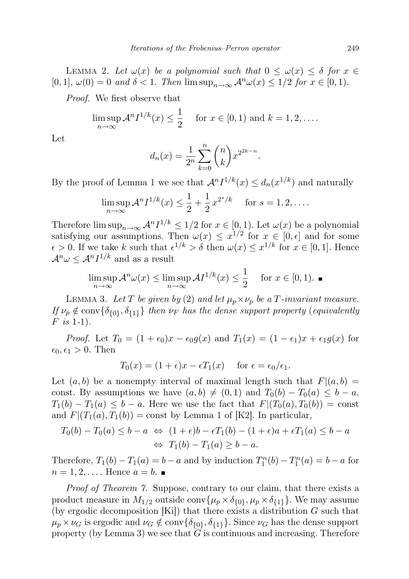LEMMA 2. Let  $\omega(x)$  be a polynomial such that  $0 \leq \omega(x) \leq \delta$  for  $x \in$  $[0, 1], \omega(0) = 0$  and  $\delta < 1$ . Then  $\limsup_{n \to \infty} A^n \omega(x) \leq 1/2$  for  $x \in [0, 1)$ .

Proof. We first observe that

$$
\limsup_{n \to \infty} \mathcal{A}^n I^{1/k}(x) \le \frac{1}{2} \quad \text{for } x \in [0,1) \text{ and } k = 1,2,\dots.
$$

Let

$$
d_n(x) = \frac{1}{2^n} \sum_{k=0}^n {n \choose k} x^{2^{2k-n}}
$$

.

By the proof of Lemma 1 we see that  $\mathcal{A}^n I^{1/k}(x) \leq d_n(x^{1/k})$  and naturally

$$
\limsup_{n \to \infty} \mathcal{A}^n I^{1/k}(x) \le \frac{1}{2} + \frac{1}{2} x^{2^s/k} \quad \text{for } s = 1, 2, \dots.
$$

Therefore  $\limsup_{n\to\infty} \mathcal{A}^n I^{1/k} \leq 1/2$  for  $x \in [0,1)$ . Let  $\omega(x)$  be a polynomial satisfying our assumptions. Then  $\omega(x) \leq x^{1/2}$  for  $x \in [0, \epsilon]$  and for some  $\epsilon > 0$ . If we take k such that  $\epsilon^{1/k} > \delta$  then  $\omega(x) \leq x^{1/k}$  for  $x \in [0,1]$ . Hence  $\mathcal{A}^n \omega \leq \mathcal{A}^n I^{1/k}$  and as a result

$$
\limsup_{n \to \infty} \mathcal{A}^n \omega(x) \le \limsup_{n \to \infty} \mathcal{A} I^{1/k}(x) \le \frac{1}{2} \quad \text{for } x \in [0, 1). \blacksquare
$$

LEMMA 3. Let T be given by (2) and let  $\mu_p \times \nu_p$  be a T-invariant measure. If  $\nu_p \notin \text{conv}{\{\delta_{\{0\}}, \delta_{\{1\}}\}\}$  then  $\nu_F$  has the dense support property (equivalently  $F$  is 1-1).

*Proof.* Let  $T_0 = (1 + \epsilon_0)x - \epsilon_0 g(x)$  and  $T_1(x) = (1 - \epsilon_1)x + \epsilon_1 g(x)$  for  $\epsilon_0, \epsilon_1 > 0$ . Then

$$
T_0(x) = (1 + \epsilon)x - \epsilon T_1(x) \quad \text{for } \epsilon = \epsilon_0/\epsilon_1.
$$

Let  $(a, b)$  be a nonempty interval of maximal length such that  $F|(a, b) =$ const. By assumptions we have  $(a, b) \neq (0, 1)$  and  $T_0(b) - T_0(a) \leq b - a$ ,  $T_1(b) - T_1(a) \leq b - a$ . Here we use the fact that  $F(T_0(a), T_0(b)) = \text{const}$ and  $F|(T_1(a), T_1(b)) = \text{const}$  by Lemma 1 of [K2]. In particular,

$$
T_0(b) - T_0(a) \le b - a \Leftrightarrow (1 + \epsilon)b - \epsilon T_1(b) - (1 + \epsilon)a + \epsilon T_1(a) \le b - a
$$
  

$$
\Leftrightarrow T_1(b) - T_1(a) \ge b - a.
$$

Therefore,  $T_1(b) - T_1(a) = b - a$  and by induction  $T_1^n(b) - T_1^n(a) = b - a$  for  $n = 1, 2, \ldots$  Hence  $a = b$ .

Proof of Theorem 7. Suppose, contrary to our claim, that there exists a product measure in  $M_{1/2}$  outside conv $\{\mu_p \times \delta_{\{0\}}, \mu_p \times \delta_{\{1\}}\}\.$  We may assume (by ergodic decomposition  $[Ki]$ ) that there exists a distribution G such that  $\mu_p \times \nu_G$  is ergodic and  $\nu_G \notin \text{conv}\{\delta_{\{0\}}, \delta_{\{1\}}\}.$  Since  $\nu_G$  has the dense support property (by Lemma 3) we see that  $G$  is continuous and increasing. Therefore